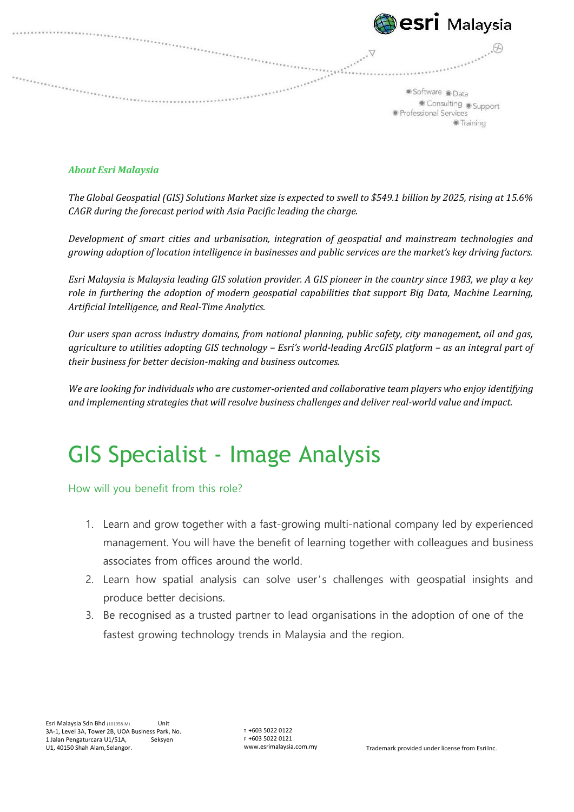| <b>Besri</b> Malaysia                                                        |
|------------------------------------------------------------------------------|
| Software Data<br>Consulting Support<br>· Professional Services<br>● Training |
|                                                                              |

## *About Esri Malaysia*

*The Global Geospatial (GIS) Solutions Market size is expected to swell to \$549.1 billion by 2025, rising at 15.6% CAGR during the forecast period with Asia Pacific leading the charge.*

*Development of smart cities and urbanisation, integration of geospatial and mainstream technologies and growing adoption of location intelligence in businesses and public services are the market's key driving factors.*

*Esri Malaysia is Malaysia leading GIS solution provider. A GIS pioneer in the country since 1983, we play a key role in furthering the adoption of modern geospatial capabilities that support Big Data, Machine Learning, Artificial Intelligence, and Real‐Time Analytics.*

*Our users span across industry domains, from national planning, public safety, city management, oil and gas, agriculture to utilities adopting GIS technology – Esri's world‐leading ArcGIS platform – as an integral part of their business for better decision‐making and business outcomes.*

We are looking for individuals who are customer-oriented and collaborative team players who enjoy identifying *and implementing strategies that will resolve business challenges and deliver real‐world value and impact.*

## GIS Specialist - Image Analysis

How will you benefit from this role?

- 1. Learn and grow together with a fast-growing multi-national company led by experienced management. You will have the benefit of learning together with colleagues and business associates from offices around the world.
- 2. Learn how spatial analysis can solve user's challenges with geospatial insights and produce better decisions.
- 3. Be recognised as a trusted partner to lead organisations in the adoption of one of the fastest growing technology trends in Malaysia and the region.

T +603 5022 0122 F +603 5022 0121<br>www.esrimalaysia.com.my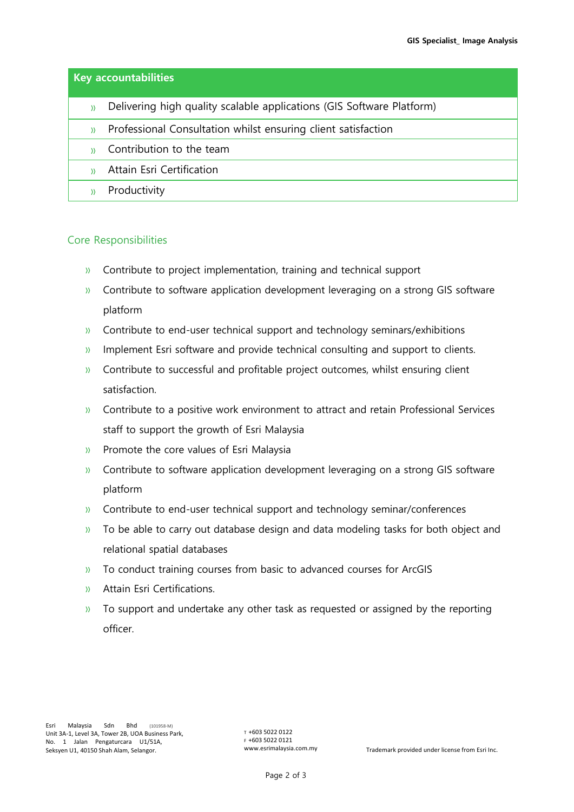| <b>Key accountabilities</b> |                                                                       |
|-----------------------------|-----------------------------------------------------------------------|
| Y)                          | Delivering high quality scalable applications (GIS Software Platform) |
| $\mathcal{Y}$               | Professional Consultation whilst ensuring client satisfaction         |
|                             | Contribution to the team                                              |
|                             | Attain Esri Certification                                             |
|                             | Productivity                                                          |

## Core Responsibilities

- » Contribute to project implementation, training and technical support
- » Contribute to software application development leveraging on a strong GIS software platform
- » Contribute to end-user technical support and technology seminars/exhibitions
- » Implement Esri software and provide technical consulting and support to clients.
- » Contribute to successful and profitable project outcomes, whilst ensuring client satisfaction.
- » Contribute to a positive work environment to attract and retain Professional Services staff to support the growth of Esri Malaysia
- » Promote the core values of Esri Malaysia
- » Contribute to software application development leveraging on a strong GIS software platform
- » Contribute to end-user technical support and technology seminar/conferences
- » To be able to carry out database design and data modeling tasks for both object and relational spatial databases
- » To conduct training courses from basic to advanced courses for ArcGIS
- » Attain Esri Certifications.
- » To support and undertake any other task as requested or assigned by the reporting officer.